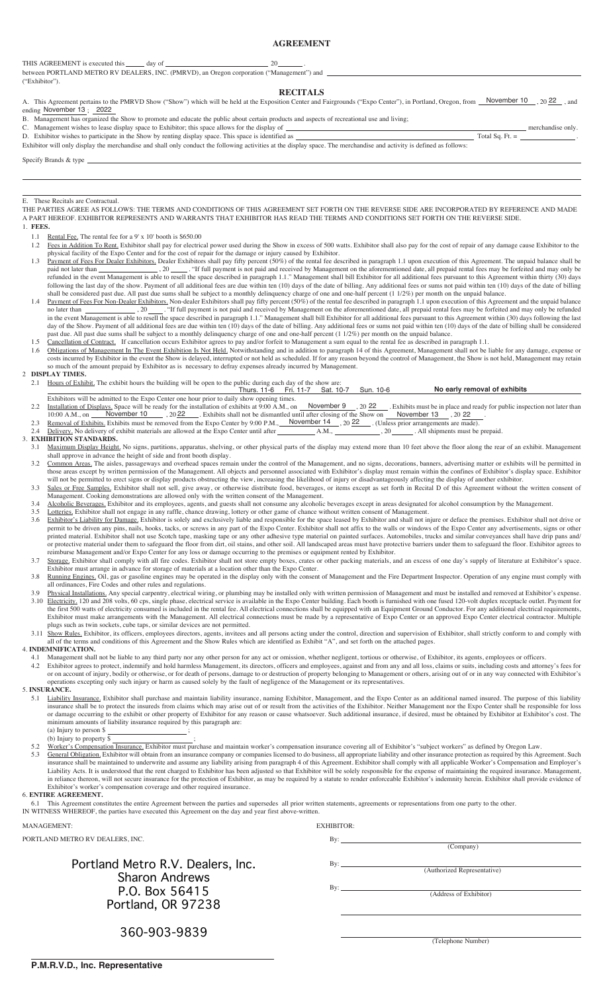# **AGREEMENT**

THIS AGREEMENT is executed this day of 20

between PORTLAND METRO RV DEALERS, INC. (PMRVD), an Oregon corporation ("Management") and ("Exhibitor").

# **RECITALS**

A. This Agreement pertains to the PMRVD Show ("Show") which will be held at the Exposition Center and Fairgrounds ("Expo Center"), in Portland, Oregon, from *November 10* , 20 22 , and ending November 13; 2022

B. Management has organized the Show to promote and educate the public about certain products and aspects of recreational use and living;

C. Management wishes to lease display space to Exhibitor; this space allows for the display of <u>merchandise only.</u>

D. Exhibitor wishes to participate in the Show by renting display space. This space is identified as Total Sq. Ft. = . Exhibitor will only display the merchandise and shall only conduct the following activities at the display space. The merchandise and activity is defined as follows:

Specify Brands & type

### E. These Recitals are Contractual.

THE PARTIES AGREE AS FOLLOWS: THE TERMS AND CONDITIONS OF THIS AGREEMENT SET FORTH ON THE REVERSE SIDE ARE INCORPORATED BY REFERENCE AND MADE A PART HEREOF. EXHIBITOR REPRESENTS AND WARRANTS THAT EXHIBITOR HAS READ THE TERMS AND CONDITIONS SET FORTH ON THE REVERSE SIDE. 1. **FEES.**

- 1.1 Rental Fee. The rental fee for a 9' x 10' booth is \$650.00
- Fees in Addition To Rent. Exhibitor shall pay for electrical power used during the Show in excess of 500 watts. Exhibitor shall also pay for the cost of repair of any damage cause Exhibitor to the physical facility of the Expo Center and for the cost of repair for the damage or injury caused by Exhibitor.
	- 1.3 Payment of Fees For Dealer Exhibitors. Dealer Exhibitors shall pay fifty percent (50%) of the rental fee described in paragraph 1.1 upon execution of this Agreement. The unpaid balance shall be paid not later than \_\_\_\_\_\_\_\_\_\_\_\_\_\_\_\_\_\_\_\_\_\_\_\_\_\_\_\_\_. "If full payment is not paid and received by Management on the aforementioned date, all prepaid rental fees may be forfeited and may only be refunded in the event Management is able to resell the space described in paragraph 1.1." Management shall bill Exhibitor for all additional fees pursuant to this Agreement within thirty (30) days following the last day of the show. Payment of all additional fees are due within ten (10) days of the date of billing. Any additional fees or sums not paid within ten (10) days of the date of billing shall be considered past due. All past due sums shall be subject to a monthly delinquency charge of one and one-half percent (1 1/2%) per month on the unpaid balance.
	- 1.4 Payment of Fees For Non-Dealer Exhibitors. Non-dealer Exhibitors shall pay fifty percent (50%) of the rental fee described in paragraph 1.1 upon execution of this Agreement and the unpaid balance no later than \_\_\_\_\_\_\_\_\_\_\_\_\_\_\_\_\_\_\_. "If full payment is not paid and received by Management on the aforementioned date, all prepaid rental fees may be forfeited and may only be refunded in the event Management is able to resell the space described in paragraph 1.1." Management shall bill Exhibitor for all additional fees pursuant to this Agreement within (30) days following the last day of the Show. Payment of all additional fees are due within ten (10) days of the date of billing. Any additional fees or sums not paid within ten (10) days of the date of billing shall be considered past due. All past due sums shall be subject to a monthly delinquency charge of one and one-half percent (1 1/2%) per month on the unpaid balance.

1.5 Cancellation of Contract. If cancellation occurs Exhibitor agrees to pay and/or forfeit to Management a sum equal to the rental fee as described in paragraph 1.1.

- 1.6 Obligations of Management In The Event Exhibition Is Not Held. Notwithstanding and in addition to paragraph 14 of this Agreement, Management shall not be liable for any damage, expense or costs incurred by Exhibitor in the event the Show is delayed, interrupted or not held as scheduled. If for any reason beyond the control of Management, the Show is not held, Management may retain so much of the amount prepaid by Exhibitor as is necessary to defray expenses already incurred by Management. 2 **DISPLAY TIMES.**
	-
- 2.1 Hours of Exhibit. The exhibit hours the building will be open to the public during each day of the show are:<br>Thurs. 11-6 Fri. 11-7 Sat. 10-7 Sun. 10-6 Exhibitors will be admitted to the Expo Center one hour prior to daily show opening times. **No early removal of exhibits**
	- 2.2 Installation of Displays. Space will be ready for the installation of exhibits at 9:00 A.M., on November 9, 20 22 Exhibits must be in place and ready for public inspection not later than 10:00 A.M., on  $\frac{\text{November 10}}{22}$ , 20  $\frac{22}{2}$ . Exhibits shall not be dismantled until after closing of the Show on  $\frac{\text{November 13}}{2}$ , 20 22.  $\frac{N_{\text{S}}}{N_{\text{S}}}$  Space will be ready for the installation of exhibits at 9:00 A.M., on **November 9**, 20 22 . Exhibits must be in place and<br>
	November 10 . 22 . Exhibits shall not be dismantled until after closing of th
	- 2.3 Removal of Exhibits. Exhibits must be removed from the Expo Center by 9:00 P.M., November 14 , 20 22 (Unless prior arrangements are made).
	- 2.4 Delivery. No delivery of exhibit materials are allowed at the Expo Center until after A.M., , 20 . All shipments must be prepaid.

# 3. **EXHIBITION STANDARDS.**

3.1 Maximum Display Height. No signs, partitions, apparatus, shelving, or other physical parts of the display may extend more than 10 feet above the floor along the rear of an exhibit. Management shall approve in advance the height of side and front booth display.

- 3.2 Common Areas. The aisles, passageways and overhead spaces remain under the control of the Management, and no signs, decorations, banners, advertising matter or exhibits will be permitted in those areas except by written permission of the Management. All objects and personnel associated with Exhibitor's display must remain within the confines of Exhibitor's display space. Exhibitor will not be permitted to erect signs or display products obstructing the view, increasing the likelihood of injury or disadvantageously affecting the display of another exhibitor.
- 3.3 Sales or Free Samples. Exhibitor shall not sell, give away, or otherwise distribute food, beverages, or items except as set forth in Recital D of this Agreement without the written consent of Management. Cooking demonstrations are allowed only with the written consent of the Management.
- 3.4 Alcoholic Beverages. Exhibitor and its employees, agents, and guests shall not consume any alcoholic beverages except in areas designated for alcohol consumption by the Management.
- 3.5 Lotteries. Exhibitor shall not engage in any raffle, chance drawing, lottery or other game of chance without written consent of Management.
- 3.6 Exhibitor's Liability for Damage. Exhibitor is solely and exclusively liable and responsible for the space leased by Exhibitor and shall not injure or deface the premises. Exhibitor shall not drive or permit to be driven any pins, nails, hooks, tacks, or screws in any part of the Expo Center. Exhibitor shall not affix to the walls or windows of the Expo Center any advertisements, signs or other printed material. Exhibitor shall not use Scotch tape, masking tape or any other adhesive type material on painted surfaces. Automobiles, trucks and similar conveyances shall have drip pans and/ or protective material under them to safeguard the floor from dirt, oil stains, and other soil. All landscaped areas must have protective barriers under them to safeguard the floor. Exhibitor agrees to reimburse Management and/or Expo Center for any loss or damage occurring to the premises or equipment rented by Exhibitor.
- 3.7 Storage. Exhibitor shall comply with all fire codes. Exhibitor shall not store empty boxes, crates or other packing materials, and an excess of one day's supply of literature at Exhibitor's space. Exhibitor must arrange in advance for storage of materials at a location other than the Expo Center.
- 3.8 Running Engines. Oil, gas or gasoline engines may be operated in the display only with the consent of Management and the Fire Department Inspector. Operation of any engine must comply with all ordinances, Fire Codes and other rules and regulations.
- 3.9 Physical Installations. Any special carpentry, electrical wiring, or plumbing may be installed only with written permission of Management and must be installed and removed at Exhibitor's expense. 3.10 Electricity, 120 and 208 volts, 60 cps, single phase, electrical service is available in the Expo Center building. Each booth is furnished with one fused 120-volt duplex receptacle outlet. Payment for the first 500 watts of electricity consumed is included in the rental fee. All electrical connections shall be equipped with an Equipment Ground Conductor. For any additional electrical requirements, Exhibitor must make arrangements with the Management. All electrical connections must be made by a representative of Expo Center or an approved Expo Center electrical contractor. Multiple plugs such as twin sockets, cube taps, or similar devices are not permitted.
- 3.11 Show Rules. Exhibitor, its officers, employees directors, agents, invitees and all persons acting under the control, direction and supervision of Exhibitor, shall strictly conform to and comply with all of the terms and conditions of this Agreement and the Show Rules which are identified as Exhibit "A", and set forth on the attached pages.

4. **INDEMNIFICATION.**

- 4.1 Management shall not be liable to any third party nor any other person for any act or omission, whether negligent, tortious or otherwise, of Exhibitor, its agents, employees or officers.
- 4.2 Exhibitor agrees to protect, indemnify and hold harmless Management, its directors, officers and employees, against and from any and all loss, claims or suits, including costs and attorney's fees for or on account of injury, bodily or otherwise, or for death of persons, damage to or destruction of property belonging to Management or others, arising out of or in any way connected with Exhibitor's operations excepting only such injury or harm as caused solely by the fault of negligence of the Management or its representatives.
- 5. **INSURANCE.**
	- 5.1 Liability Insurance. Exhibitor shall purchase and maintain liability insurance, naming Exhibitor, Management, and the Expo Center as an additional named insured. The purpose of this liability insurance shall be to protect the insureds from claims which may arise out of or result from the activities of the Exhibitor. Neither Management nor the Expo Center shall be responsible for loss or damage occurring to the exhibit or other property of Exhibitor for any reason or cause whatsoever. Such additional insurance, if desired, must be obtained by Exhibitor at Exhibitor's cost. The minimum amounts of liability insurance required by this paragraph are: (a) Injury to person  $\frac{1}{2}$  ;
		-
	- (b) Injury to property \$<br>Worker's Compensation **5.** Compensation Insurance. Exhibitor must purchase and maintain worker's compensation insurance covering all of Exhibitor's "subject workers" as defined by Oregon Law
	- 5.3 General Obligation. Exhibitor will obtain from an insurance company or companies licensed to do business, all appropriate liability and other insurance protection as required by this Agreement. Such insurance shall be maintained to underwrite and assume any liability arising from paragraph 4 of this Agreement. Exhibitor shall comply with all applicable Worker's Compensation and Employer's Liability Acts. It is understood that the rent charged to Exhibitor has been adjusted so that Exhibitor will be solely responsible for the expense of maintaining the required insurance. Management, in reliance thereon, will not secure insurance for the protection of Exhibitor, as may be required by a statute to render enforceable Exhibitor's indemnity herein. Exhibitor shall provide evidence of Exhibitor's worker's compensation coverage and other required insurance.

6. **ENTIRE AGREEMENT.**

6.1 This Agreement constitutes the entire Agreement between the parties and supersedes all prior written statements, agreements or representations from one party to the other.

(Company)

IN WITNESS WHEREOF, the parties have executed this Agreement on the day and year first above-written.

### MANAGEMENT: EXHIBITOR:

PORTLAND METRO RV DEALERS, INC. By:

# Portland Metro R.V. Dealers, Inc. **By: P.O. Box 56415** By: By: Address of Exhibitor) **Sharon Andrews** Sharon Andrews Portland, OR 97238

(Authorized Representative)

**360-903-9839** 360-903-9839

(Telephone Number)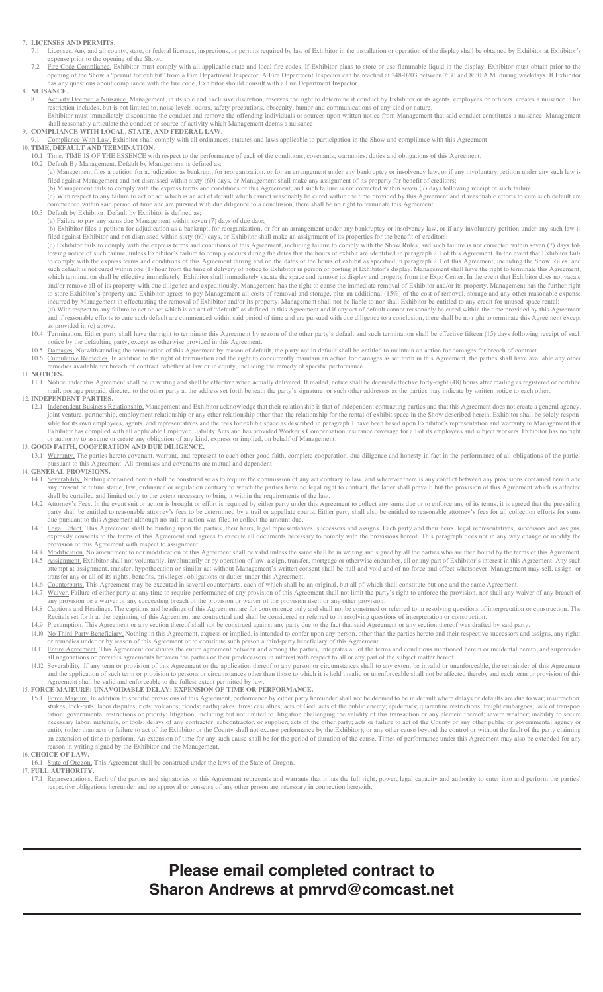# 7. **LICENSES AND PERMITS.**

- 7.1 Licenses. Any and all county, state, or federal licenses, inspections, or permits required by law of Exhibitor in the installation or operation of the display shall be obtained by Exhibitor at Exhibitor's expense prior to the opening of the Show.
- 7.2 Fire Code Compliance. Exhibitor must comply with all applicable state and local fire codes. If Exhibitor plans to store or use flammable liquid in the display. Exhibitor must obtain prior to the opening of the Show a "permit for exhibit" from a Fire Department Inspector. A Fire Department Inspector can be reached at 248-0203 between 7:30 and 8:30 A.M. during weekdays. If Exhibitor has any questions about compliance with the fire code, Exhibitor should consult with a Fire Department Inspector.

# 8. **NUISANCE.**

8.1 Activity Deemed a Nuisance. Management, in its sole and exclusive discretion, reserves the right to determine if conduct by Exhibitor or its agents, employees or officers, creates a nuisance. This restriction includes, but is not limited to, noise levels, odors, safety precautions, obscenity, humor and communications of any kind or nature. Exhibitor must immediately discontinue the conduct and remove the offending individuals or sources upon written notice from Management that said conduct constitutes a nuisance. Management

shall reasonably articulate the conduct or source of activity which Management deems a nuisance.

# 9. **COMPLIANCE WITH LOCAL, STATE, AND FEDERAL LAW.**

9.1 Compliance With Law. Exhibitor shall comply with all ordinances, statutes and laws applicable to participation in the Show and compliance with this Agreement. 10. **TIME, DEFAULT AND TERMINATION.**

- 10.1 Time. TIME IS OF THE ESSENCE with respect to the performance of each of the conditions, covenants, warranties, duties and obligations of this Agreement.
- 10.2 Default By Management. Default by Management is defined as: (a) Management files a petition for adjudication as bankrupt, for reorganization, or for an arrangement under any bankruptcy or insolvency law, or if any involuntary petition under any such law is filed against Management and not dismissed within sixty (60) days, or Management shall make any assignment of its property for benefit of creditors;
- (b) Management fails to comply with the express terms and conditions of this Agreement, and such failure is not corrected within seven (7) days following receipt of such failure;
	- (c) With respect to any failure to act or act which is an act of default which cannot reasonably be cured within the time provided by this Agreement and if reasonable efforts to cure such default are commenced within said period of time and are pursued with due diligence to a conclusion, there shall be no right to terminate this Agreement.
	- 10.3 Default by Exhibitor, Default by Exhibitor is defined as;
	- (a) Failure to pay any sums due Management within seven (7) days of due date;

 (b) Exhibitor files a petition for adjudication as a bankrupt, for reorganization, or for an arrangement under any bankruptcy or insolvency law, or if any involuntary petition under any such law is filed against Exhibitor and not dismissed within sixty (60) days, or Exhibitor shall make an assignment of its properties for the benefit of creditors;

 (c) Exhibitor fails to comply with the express terms and conditions of this Agreement, including failure to comply with the Show Rules, and such failure is not corrected within seven (7) days following notice of such failure, unless Exhibitor's failure to comply occurs during the dates that the hours of exhibit are identified in paragraph 2.1 of this Agreement. In the event that Exhibitor fails to comply with the express terms and conditions of this Agreement during and on the dates of the hours of exhibit as specified in paragraph 2.1 of this Agreement, including the Show Rules, and such default is not cured within one (1) hour from the time of delivery of notice to Exhibitor in person or posting at Exhibitor's display, Management shall have the right to terminate this Agreement, which termination shall be effective immediately. Exhibitor shall immediately vacate the space and remove its display and property from the Expo Center. In the event that Exhibitor does not vacate and/or remove all of its property with due diligence and expeditiously. Management has the right to cause the immediate removal of Exhibitor and/or its property. Management has the further right to store Exhibitor's property and Exhibitor agrees to pay Management all costs of removal and storage, plus an additional (15%) of the cost of removal, storage and any other reasonable expense incurred by Management in effectuating the removal of Exhibitor and/or its property. Management shall not be liable to nor shall Exhibitor be entitled to any credit for unused space rental;

- (d) With respect to any failure to act or act which is an act of "default" as defined in this Agreement and if any act of default cannot reasonably be cured within the time provided by this Agreement and if reasonable efforts to cure such default are commenced within said period of time and are pursued with due diligence to a conclusion, there shall be no right to terminate this Agreement except  $\alpha$  conclusion, there as provided in (c) above.
	- 10.4 Termination. Either party shall have the right to terminate this Agreement by reason of the other party's default and such termination shall be effective fifteen (15) days following receipt of such notice by the defaulting party, except as otherwise provided in this Agreement.
- 10.5 Damages. Notwithstanding the termination of this Agreement by reason of default, the party not in default shall be entitled to maintain an action for damages for breach of contract. 10.6 Cumulative Remedies. In addition to the right of termination and the right to concurrently maintain an action for damages as set forth in this Agreement, the parties shall have available any other dies available for breach of contract, whether at law or in equity, including the remedy of specific performance. 11. **NOTICES.**
- 11.1 Notice under this Agreement shall be in writing and shall be effective when actually delivered. If mailed, notice shall be deemed effective forty-eight (48) hours after mailing as registered or certified .<br>id, directed to the other party at the address set forth beneath the party's signature, or such other addresses as the parties may indicate by written notice to each other. 12. **INDEPENDENT PARTIES.**
- 12.1 Independent Business Relationship. Management and Exhibitor acknowledge that their relationship is that of independent contracting parties and that this Agreement does not created by joint venture, partnership, employment relationship or any other relationship other than the relationship for the rental of exhibit space in the Show described herein. Exhibitor shall be solely responsible for its own employees, agents, and representatives and the fees for exhibit space as described in paragraph 1 have been based upon Exhibitor's representation and warranty to Management that Exhibitor has complied with all applicable Employer Liability Acts and has provided Worker's Compensation insurance coverage for all of its employees and subject workers. Exhibitor has no right

#### or authority to assume or create any obligation of any kind, express or implied, on behalf of Management. 13. **GOOD FAITH, COOPERATION AND DUE DILIGENCE.**

13.1 Warranty. The parties hereto covenant, warrant, and represent to each other good faith, complete cooperation, due diligence and honesty in fact in the performance of all obligations of the parties pursuant to this Aer Agreement. All promises and covenants are mutual and dependent.

# 14. **GENERAL PROVISIONS.**

- 14.1 Severability. Nothing contained herein shall be construed so as to require the commission of any act contrary to law, and wherever there is any conflict between any provisions contained herein a any present or future statue, law, ordinance or regulation contrary to which the parties have no legal right to contract, the latter shall prevail; but the provision of this Agreement which is affected shall be curtailed and limited only to the extent necessary to bring it within the requirements of the law.
- 14.2 Attorney's Fees. In the event suit or action is brought or effort is required by either party under this Agreement to collect any sums due or to enforce any of its terms, it is agreed that the prevailing party shall be entitled to reasonable attorney's fees to be determined by a trail or appellate courts. Either party shall also be entitled to reasonable attorney's fees for all collection efforts for sums due pursuant to this Agreement although no suit or action was filed to collect the amount due.
- 14.3 Legal Effect. This Agreement shall be binding upon the parties, their heirs, legal representatives, successors and assigns. Each party and their heirs, legal representatives, successors and assigns, expressly consents to the terms of this Agreement and agrees to execute all documents necessary to comply with the provisions hereof. This paragraph does not in any way change or modify the provision of this Agreement with respect to assignment.
- 14.4 Modification. No amendment to nor modification of this Agreement shall be valid unless the same shall be in writing and signed by all the parties who are then bound by the terms of this Agreement. 14.5 Assignment. Exhibitor shall not voluntarily, involuntarily or by operation of law, assign, transfer, mortgage or otherwise encumber, all or any part of Exhibitor's interest in this Agreement. Any such attempt at assignment, transfer, hypothecation or similar act without Management's written consent shall be null and void and of no force and effect whatsoever. Management may sell, assign, or transfer any or all of its rights, benefits, privileges, obligations or duties under this Agreement.
- 14.6 Counterparts. This Agreement may be executed in several counterparts, each of which shall be an original, but all of which shall constitute but one and the same Agreement.<br>14.7 Waiver, Failure of either party at any t
- Waiver. Failure of either party at any time to require performance of any provision of this Agreement shall not limit the party's right to enforce the provision, nor shall any waiver of any breach of any provision be a waiver of any succeeding breach of the provision or waiver of the provision itself or any other provision.
- 14.8 Captions and Headings. The captions and headings of this Agreement are for convenience only and shall not be construed or referred to in resolving questions of interpretation or construction. The Recitals set forth at the beginning of this Agreement are contractual and shall be considered or referred to in resolving questions of interpretation or construction.
- 14.9 Presumption. This Agreement or any section thereof shall not be construed against any party due to the fact that said Agreement or any section thereof was drafted by said party.
- 14.10 No Third-Party Beneficiary. Nothing in this Agreement, express or implied, is intended to confer upon any person, other than the parties hereto and their respective successors and assigns, any rights or remedies under or by reason of this Agreement or to constitute such person a third-party beneficiary of this Agreement.
- 14.11 Entire Agreement. This Agreement constitutes the entire agreement between and among the parties, integrates all of the terms and conditions mentioned herein or incidental hereto, and supercedes Il negotiations or previous agreements between the parties or their predecessors in interest with respect to all or any part of the subject matter hereof.
- 14.12 Severability. If any term or provision of this Agreement or the application thereof to any person or circumstances shall to any extent be invalid or unenforceable, the remainder of this Agreement and the application of such term or provision to persons or circumstances other than those to which it is held invalid or unenforceable shall not be affected thereby and each term or provision of this Agreement shall be valid and enforceable to the fullest extent permitted by law.

#### 15. **FORCE MAJEURE: UNAVOIDABLE DELAY: EXPENSION OF TIME OR PERFORMANCE.**

15.1 Force Majeure. In addition to specific provisions of this Agreement, performance by either party hereunder shall not be deemed to be in default where delays or defaults are due to war; insurrection; strikes; lock-outs; labor disputes; riots; volcanos; floods; earthquakes; fires; casualties; acts of God; acts of the public enemy; epidemics; quarantine restrictions; freight embargoes; lack of transportation; governmental restrictions or priority; litigation; including but not limited to, litigation challenging the validity of this transaction or any element thereof; severe weather; inability to secure necessary labor, materials, or tools; delays of any contractor, subcontractor, or supplier; acts of the other party; acts or failure to act of the County or any other public or governmental agency or entity (other than acts or failure to act of the Exhibitor or the County shall not excuse performance by the Exhibitor); or any other cause beyond the control or without the fault of the party claiming an extension of time to perform. An extension of time for any such cause shall be for the period of duration of the cause. Times of performance under this Agreement may also be extended for any eason in writing signed by the Exhibitor and the Managemen

# 16. **CHOICE OF LAW.**

State of Oregon. This Agreement shall be construed under the laws of the State of Oregon.

17. **FULL AUTHORITY.**

17.1 Representations. Each of the parties and signatories to this Agreement represents and warrants that it has the full right, power, legal capacity and authority to enter into and perform the parties' respective obligations hereunder and no approval or consents of any other person are necessary in connection herewith.

# **Please email completed contract to Sharon Andrews at pmrvd@comcast.net**